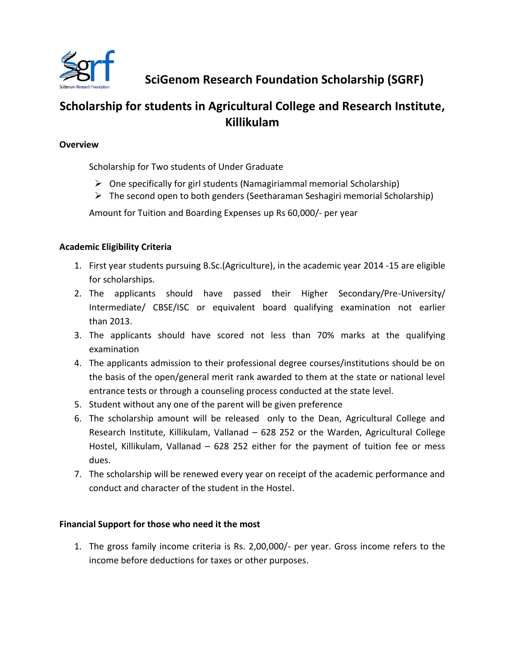

**SciGenom Research Foundation Scholarship (SGRF)**

# **Scholarship for students in Agricultural College and Research Institute, Killikulam**

#### **Overview**

Scholarship for Two students of Under Graduate

- $\triangleright$  One specifically for girl students (Namagiriammal memorial Scholarship)
- $\triangleright$  The second open to both genders (Seetharaman Seshagiri memorial Scholarship)

Amount for Tuition and Boarding Expenses up Rs 60,000/- per year

## **Academic Eligibility Criteria**

- 1. First year students pursuing B.Sc.(Agriculture), in the academic year 2014 -15 are eligible for scholarships.
- 2. The applicants should have passed their Higher Secondary/Pre-University/ Intermediate/ CBSE/ISC or equivalent board qualifying examination not earlier than 2013.
- 3. The applicants should have scored not less than 70% marks at the qualifying examination
- 4. The applicants admission to their professional degree courses/institutions should be on the basis of the open/general merit rank awarded to them at the state or national level entrance tests or through a counseling process conducted at the state level.
- 5. Student without any one of the parent will be given preference
- 6. The scholarship amount will be released only to the Dean, Agricultural College and Research Institute, Killikulam, Vallanad – 628 252 or the Warden, Agricultural College Hostel, Killikulam, Vallanad – 628 252 either for the payment of tuition fee or mess dues.
- 7. The scholarship will be renewed every year on receipt of the academic performance and conduct and character of the student in the Hostel.

## **Financial Support for those who need it the most**

1. The gross family income criteria is Rs. 2,00,000/- per year. Gross income refers to the income before deductions for taxes or other purposes.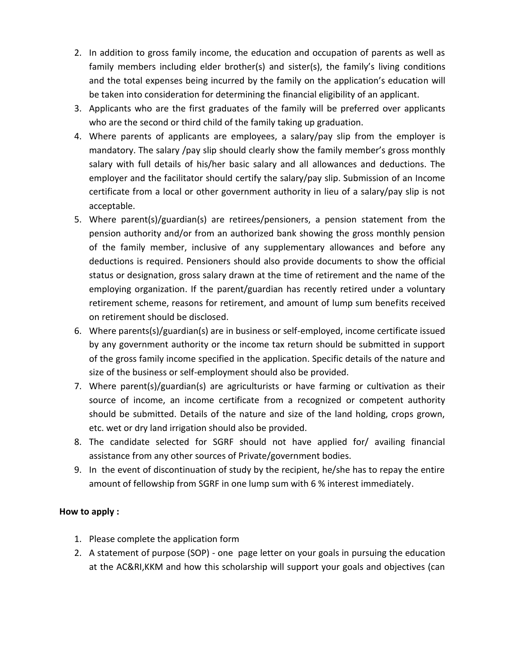- 2. In addition to gross family income, the education and occupation of parents as well as family members including elder brother(s) and sister(s), the family's living conditions and the total expenses being incurred by the family on the application's education will be taken into consideration for determining the financial eligibility of an applicant.
- 3. Applicants who are the first graduates of the family will be preferred over applicants who are the second or third child of the family taking up graduation.
- 4. Where parents of applicants are employees, a salary/pay slip from the employer is mandatory. The salary /pay slip should clearly show the family member's gross monthly salary with full details of his/her basic salary and all allowances and deductions. The employer and the facilitator should certify the salary/pay slip. Submission of an Income certificate from a local or other government authority in lieu of a salary/pay slip is not acceptable.
- 5. Where parent(s)/guardian(s) are retirees/pensioners, a pension statement from the pension authority and/or from an authorized bank showing the gross monthly pension of the family member, inclusive of any supplementary allowances and before any deductions is required. Pensioners should also provide documents to show the official status or designation, gross salary drawn at the time of retirement and the name of the employing organization. If the parent/guardian has recently retired under a voluntary retirement scheme, reasons for retirement, and amount of lump sum benefits received on retirement should be disclosed.
- 6. Where parents(s)/guardian(s) are in business or self-employed, income certificate issued by any government authority or the income tax return should be submitted in support of the gross family income specified in the application. Specific details of the nature and size of the business or self-employment should also be provided.
- 7. Where parent(s)/guardian(s) are agriculturists or have farming or cultivation as their source of income, an income certificate from a recognized or competent authority should be submitted. Details of the nature and size of the land holding, crops grown, etc. wet or dry land irrigation should also be provided.
- 8. The candidate selected for SGRF should not have applied for/ availing financial assistance from any other sources of Private/government bodies.
- 9. In the event of discontinuation of study by the recipient, he/she has to repay the entire amount of fellowship from SGRF in one lump sum with 6 % interest immediately.

#### **How to apply :**

- 1. Please complete the application form
- 2. A statement of purpose (SOP) one page letter on your goals in pursuing the education at the AC&RI,KKM and how this scholarship will support your goals and objectives (can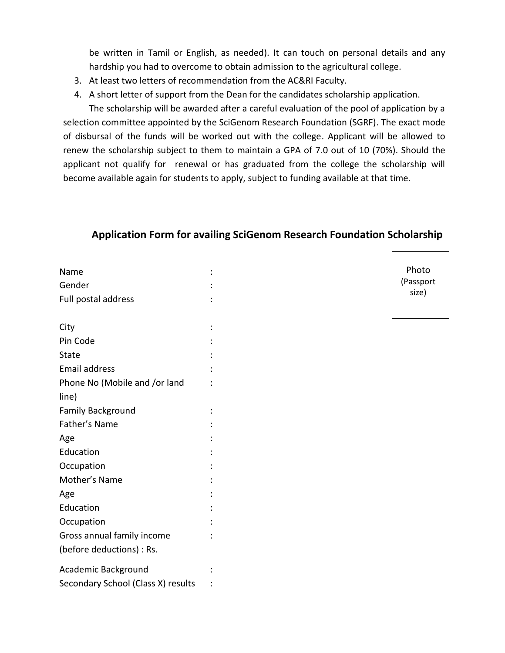be written in Tamil or English, as needed). It can touch on personal details and any hardship you had to overcome to obtain admission to the agricultural college.

- 3. At least two letters of recommendation from the AC&RI Faculty.
- 4. A short letter of support from the Dean for the candidates scholarship application.

The scholarship will be awarded after a careful evaluation of the pool of application by a selection committee appointed by the SciGenom Research Foundation (SGRF). The exact mode of disbursal of the funds will be worked out with the college. Applicant will be allowed to renew the scholarship subject to them to maintain a GPA of 7.0 out of 10 (70%). Should the applicant not qualify for renewal or has graduated from the college the scholarship will become available again for students to apply, subject to funding available at that time.

#### **Application Form for availing SciGenom Research Foundation Scholarship**

| Name                               |  |
|------------------------------------|--|
| Gender                             |  |
| Full postal address                |  |
|                                    |  |
| City                               |  |
| Pin Code                           |  |
| <b>State</b>                       |  |
| <b>Email address</b>               |  |
| Phone No (Mobile and /or land      |  |
| line)                              |  |
| <b>Family Background</b>           |  |
| Father's Name                      |  |
| Age                                |  |
| Education                          |  |
| Occupation                         |  |
| Mother's Name                      |  |
| Age                                |  |
| Education                          |  |
| Occupation                         |  |
| Gross annual family income         |  |
| (before deductions) : Rs.          |  |
| Academic Background                |  |
| Secondary School (Class X) results |  |

Photo (Passport size)